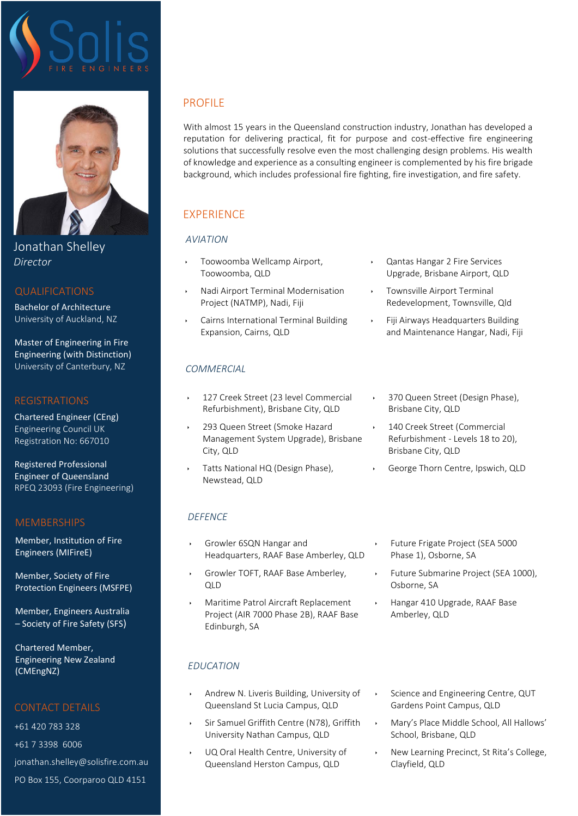

Jonathan Shelley *Director*

## QUALIFICATIONS

Bachelor of Architecture University of Auckland, NZ

Master of Engineering in Fire Engineering (with Distinction) University of Canterbury, NZ

## REGISTRATIONS

Chartered Engineer (CEng) Engineering Council UK Registration No: 667010

Registered Professional Engineer of Queensland RPEQ 23093 (Fire Engineering)

# MEMBERSHIPS

Member, Institution of Fire Engineers (MIFireE)

Member, Society of Fire Protection Engineers (MSFPE)

Member, Engineers Australia – Society of Fire Safety (SFS)

Chartered Member, Engineering New Zealand (CMEngNZ)

# CONTACT DETAILS

+61 420 783 328 +61 7 3398 6006 [jonathan.shelley@solisfire.com.au](mailto:jonathan.shelley@solisfire.com.au) PO Box 155, Coorparoo QLD 4151

# PROFILE

With almost 15 years in the Queensland construction industry, Jonathan has developed a reputation for delivering practical, fit for purpose and cost-effective fire engineering solutions that successfully resolve even the most challenging design problems. His wealth of knowledge and experience as a consulting engineer is complemented by his fire brigade background, which includes professional fire fighting, fire investigation, and fire safety.

# **EXPERIENCE**

# *AVIATION*

- Toowoomba Wellcamp Airport, Toowoomba, QLD
- Nadi Airport Terminal Modernisation Project (NATMP), Nadi, Fiji
- Cairns International Terminal Building Expansion, Cairns, QLD

# *COMMERCIAL*

- 127 Creek Street (23 level Commercial Refurbishment), Brisbane City, QLD
- 293 Queen Street (Smoke Hazard Management System Upgrade), Brisbane City, QLD
- Tatts National HQ (Design Phase), Newstead, QLD
- *DEFENCE*
- Growler 6SQN Hangar and Headquarters, RAAF Base Amberley, QLD
- Growler TOFT, RAAF Base Amberley,  $\bigcap$
- Maritime Patrol Aircraft Replacement Project (AIR 7000 Phase 2B), RAAF Base Edinburgh, SA
- *EDUCATION*
- Engineering Council UK Andrew N. Liveris Building, University of Queensland St Lucia Campus, QLD
- Sir Samuel Griffith Centre (N78), Griffith University Nathan Campus, QLD
- RPEQ 23093 (Fire Engineering) UQ Oral Health Centre, University of Queensland Herston Campus, QLD
- Qantas Hangar 2 Fire Services Upgrade, Brisbane Airport, QLD
- Townsville Airport Terminal Redevelopment, Townsville, Qld
- Fiji Airways Headquarters Building and Maintenance Hangar, Nadi, Fiji
	- 370 Queen Street (Design Phase), Brisbane City, QLD
	- 140 Creek Street (Commercial Refurbishment - Levels 18 to 20), Brisbane City, QLD
- George Thorn Centre, Ipswich, QLD
	- Future Frigate Project (SEA 5000 Phase 1), Osborne, SA
- Future Submarine Project (SEA 1000), Osborne, SA
- Hangar 410 Upgrade, RAAF Base Amberley, QLD
- Science and Engineering Centre, QUT Gardens Point Campus, QLD
- Mary's Place Middle School, All Hallows' School, Brisbane, QLD
- New Learning Precinct, St Rita's College, Clayfield, QLD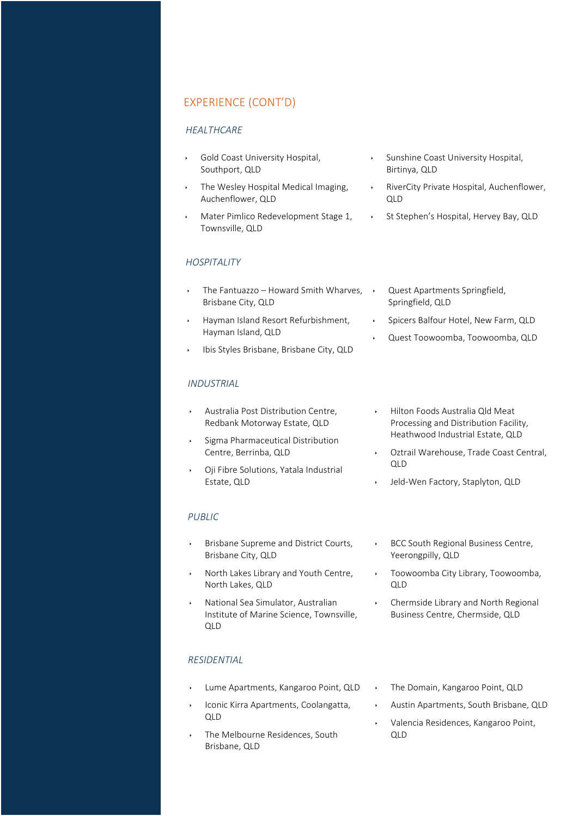## EXPERIENCE (CONT'D)

#### *HEALTHCARE*

- Gold Coast University Hospital, Southport, QLD
- The Wesley Hospital Medical Imaging, Auchenflower, QLD
- Mater Pimlico Redevelopment Stage 1, Townsville, QLD

### *HOSPITALITY*

- The Fantuazzo Howard Smith Wharves,  $\rightarrow$ Brisbane City, QLD
- Hayman Island Resort Refurbishment, Hayman Island, QLD
- Ibis Styles Brisbane, Brisbane City, QLD

#### *INDUSTRIAL*

- Australia Post Distribution Centre, Redbank Motorway Estate, QLD
- Sigma Pharmaceutical Distribution Centre, Berrinba, QLD
- Oji Fibre Solutions, Yatala Industrial Estate, QLD

#### *PUBLIC*

- Brisbane Supreme and District Courts, Brisbane City, QLD
- North Lakes Library and Youth Centre, North Lakes, QLD
- National Sea Simulator, Australian Institute of Marine Science, Townsville, QLD

#### *RESIDENTIAL*

- Lume Apartments, Kangaroo Point, QLD
- Registration No: 667010 Registered Professional Iconic Kirra Apartments, Coolangatta, QLD
- The Melbourne Residences, South Brisbane, QLD
- Sunshine Coast University Hospital, Birtinya, QLD
- RiverCity Private Hospital, Auchenflower, QLD
- St Stephen's Hospital, Hervey Bay, QLD
	- Quest Apartments Springfield, Springfield, QLD
- Spicers Balfour Hotel, New Farm, QLD
	- Quest Toowoomba, Toowoomba, QLD
- Hilton Foods Australia Qld Meat Processing and Distribution Facility, Heathwood Industrial Estate, QLD
- Oztrail Warehouse, Trade Coast Central, QLD
- Jeld-Wen Factory, Staplyton, QLD
- BCC South Regional Business Centre, Yeerongpilly, QLD
- Toowoomba City Library, Toowoomba, QLD
- Chermside Library and North Regional Business Centre, Chermside, QLD
- The Domain, Kangaroo Point, QLD
- Austin Apartments, South Brisbane, QLD
- Valencia Residences, Kangaroo Point, QLD